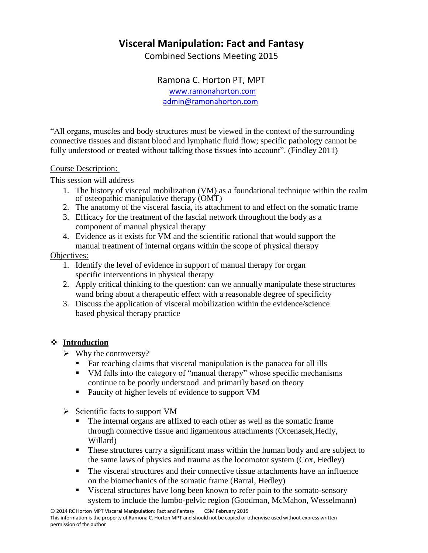## **Visceral Manipulation: Fact and Fantasy**

Combined Sections Meeting 2015

Ramona C. Horton PT, MPT [www.ramonahorton.com](http://www.ramonahorton.com/) [admin@ramonahorton.com](mailto:admin@ramonahorton.com)

"All organs, muscles and body structures must be viewed in the context of the surrounding connective tissues and distant blood and lymphatic fluid flow; specific pathology cannot be fully understood or treated without talking those tissues into account". (Findley 2011)

#### Course Description:

This session will address

- 1. The history of visceral mobilization (VM) as a foundational technique within the realm of osteopathic manipulative therapy (OMT)
- 2. The anatomy of the visceral fascia, its attachment to and effect on the somatic frame
- 3. Efficacy for the treatment of the fascial network throughout the body as a component of manual physical therapy
- 4. Evidence as it exists for VM and the scientific rational that would support the manual treatment of internal organs within the scope of physical therapy

#### Objectives:

- 1. Identify the level of evidence in support of manual therapy for organ specific interventions in physical therapy
- 2. Apply critical thinking to the question: can we annually manipulate these structures wand bring about a therapeutic effect with a reasonable degree of specificity
- 3. Discuss the application of visceral mobilization within the evidence/science based physical therapy practice

#### **Introduction**

- $\triangleright$  Why the controversy?
	- Far reaching claims that visceral manipulation is the panacea for all ills
	- VM falls into the category of "manual therapy" whose specific mechanisms continue to be poorly understood and primarily based on theory
	- **Paucity of higher levels of evidence to support VM**
- $\triangleright$  Scientific facts to support VM
	- The internal organs are affixed to each other as well as the somatic frame through connective tissue and ligamentous attachments (Otcenasek,Hedly, Willard)
	- **These structures carry a significant mass within the human body and are subject to** the same laws of physics and trauma as the locomotor system (Cox, Hedley)
	- The visceral structures and their connective tissue attachments have an influence on the biomechanics of the somatic frame (Barral, Hedley)
	- Visceral structures have long been known to refer pain to the somato-sensory system to include the lumbo-pelvic region (Goodman, McMahon, Wesselmann)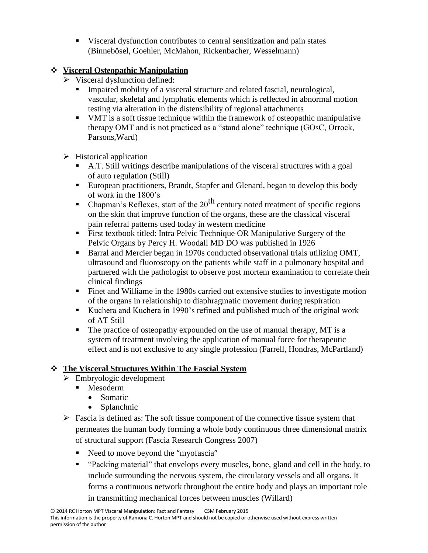Visceral dysfunction contributes to central sensitization and pain states (Binnebösel, Goehler, McMahon, Rickenbacher, Wesselmann)

## **Visceral Osteopathic Manipulation**

- $\triangleright$  Visceral dysfunction defined:
	- Impaired mobility of a visceral structure and related fascial, neurological, vascular, skeletal and lymphatic elements which is reflected in abnormal motion testing via alteration in the distensibility of regional attachments
	- VMT is a soft tissue technique within the framework of osteopathic manipulative therapy OMT and is not practiced as a "stand alone" technique (GOsC, Orrock, Parsons,Ward)
- $\triangleright$  Historical application
	- A.T. Still writings describe manipulations of the visceral structures with a goal of auto regulation (Still)
	- European practitioners, Brandt, Stapfer and Glenard, began to develop this body of work in the 1800's
	- Chapman's Reflexes, start of the  $20<sup>th</sup>$  century noted treatment of specific regions on the skin that improve function of the organs, these are the classical visceral pain referral patterns used today in western medicine
	- First textbook titled: Intra Pelvic Technique OR Manipulative Surgery of the Pelvic Organs by Percy H. Woodall MD DO was published in 1926
	- Barral and Mercier began in 1970s conducted observational trials utilizing OMT, ultrasound and fluoroscopy on the patients while staff in a pulmonary hospital and partnered with the pathologist to observe post mortem examination to correlate their clinical findings
	- Finet and Williame in the 1980s carried out extensive studies to investigate motion of the organs in relationship to diaphragmatic movement during respiration
	- Kuchera and Kuchera in 1990's refined and published much of the original work of AT Still
	- The practice of osteopathy expounded on the use of manual therapy, MT is a system of treatment involving the application of manual force for therapeutic effect and is not exclusive to any single profession (Farrell, Hondras, McPartland)

## **The Visceral Structures Within The Fascial System**

- $\triangleright$  Embryologic development
	- **Mesoderm** 
		- Somatic
		- Splanchnic
- $\triangleright$  Fascia is defined as: The soft tissue component of the connective tissue system that permeates the human body forming a whole body continuous three dimensional matrix of structural support (Fascia Research Congress 2007)
	- Need to move beyond the "myofascia"
	- "Packing material" that envelops every muscles, bone, gland and cell in the body, to include surrounding the nervous system, the circulatory vessels and all organs. It forms a continuous network throughout the entire body and plays an important role in transmitting mechanical forces between muscles (Willard)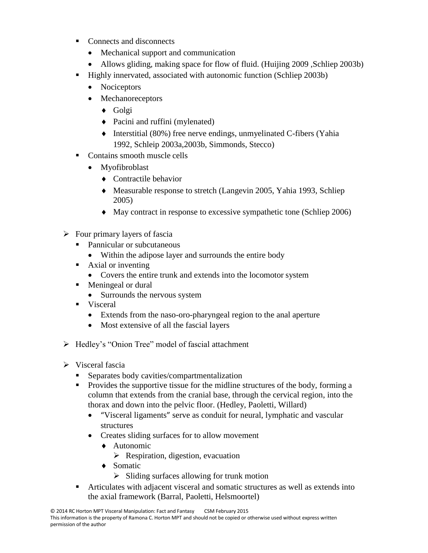- Connects and disconnects
	- Mechanical support and communication
	- Allows gliding, making space for flow of fluid. (Huijing 2009, Schliep 2003b)
- Highly innervated, associated with autonomic function (Schliep 2003b)
	- Nociceptors
	- Mechanoreceptors
		- ◆ Golgi
		- Pacini and ruffini (mylenated)
		- $\blacklozenge$  Interstitial (80%) free nerve endings, unmyelinated C-fibers (Yahia 1992, Schleip 2003a,2003b, Simmonds, Stecco)
- Contains smooth muscle cells
	- Myofibroblast
		- ◆ Contractile behavior
		- Measurable response to stretch (Langevin 2005, Yahia 1993, Schliep 2005)
		- May contract in response to excessive sympathetic tone (Schliep 2006)
- $\triangleright$  Four primary layers of fascia
	- Pannicular or subcutaneous
		- Within the adipose layer and surrounds the entire body
	- **Axial or inventing** 
		- Covers the entire trunk and extends into the locomotor system
	- Meningeal or dural
		- Surrounds the nervous system
	- **v**isceral
		- Extends from the naso-oro-pharyngeal region to the anal aperture
		- Most extensive of all the fascial layers
- Hedley's "Onion Tree" model of fascial attachment
- $\triangleright$  Visceral fascia
	- Separates body cavities/compartmentalization
	- **Provides the supportive tissue for the midline structures of the body, forming a** column that extends from the cranial base, through the cervical region, into the thorax and down into the pelvic floor. (Hedley, Paoletti, Willard)
		- "Visceral ligaments" serve as conduit for neural, lymphatic and vascular structures
		- Creates sliding surfaces for to allow movement
			- ◆ Autonomic
				- $\triangleright$  Respiration, digestion, evacuation
			- ◆ Somatic
				- $\triangleright$  Sliding surfaces allowing for trunk motion
	- Articulates with adjacent visceral and somatic structures as well as extends into the axial framework (Barral, Paoletti, Helsmoortel)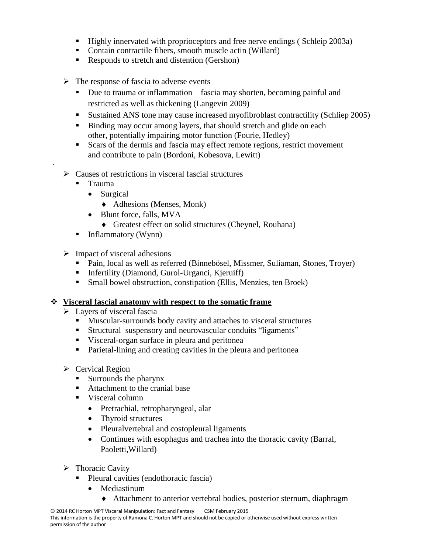- Highly innervated with proprioceptors and free nerve endings (Schleip 2003a)
- Contain contractile fibers, smooth muscle actin (Willard)
- Responds to stretch and distention (Gershon)
- $\triangleright$  The response of fascia to adverse events
	- Due to trauma or inflammation fascia may shorten, becoming painful and restricted as well as thickening (Langevin 2009)
	- Sustained ANS tone may cause increased myofibroblast contractility (Schliep 2005)
	- Binding may occur among layers, that should stretch and glide on each other, potentially impairing motor function (Fourie, Hedley)
	- Scars of the dermis and fascia may effect remote regions, restrict movement and contribute to pain (Bordoni, Kobesova, Lewitt)
- $\triangleright$  Causes of restrictions in visceral fascial structures
	- Trauma

·

- Surgical
	- Adhesions (Menses, Monk)
- Blunt force, falls, MVA
	- Greatest effect on solid structures (Cheynel, Rouhana)
- $\blacksquare$  Inflammatory (Wynn)
- $\triangleright$  Impact of visceral adhesions
	- Pain, local as well as referred (Binnebösel, Missmer, Suliaman, Stones, Troyer)
	- **Infertility (Diamond, Gurol-Urganci, Kjeruiff)**
	- Small bowel obstruction, constipation (Ellis, Menzies, ten Broek)

#### **Visceral fascial anatomy with respect to the somatic frame**

- $\triangleright$  Layers of visceral fascia
	- Muscular-surrounds body cavity and attaches to visceral structures
	- Structural–suspensory and neurovascular conduits "ligaments"
	- Visceral-organ surface in pleura and peritonea
	- Parietal-lining and creating cavities in the pleura and peritonea
- $\triangleright$  Cervical Region
	- Surrounds the pharynx
	- Attachment to the cranial base
	- Visceral column
		- Pretrachial, retropharyngeal, alar
		- Thyroid structures
		- Pleuralvertebral and costopleural ligaments
		- Continues with esophagus and trachea into the thoracic cavity (Barral, Paoletti,Willard)
- $\triangleright$  Thoracic Cavity
	- Pleural cavities (endothoracic fascia)
		- Mediastinum
			- Attachment to anterior vertebral bodies, posterior sternum, diaphragm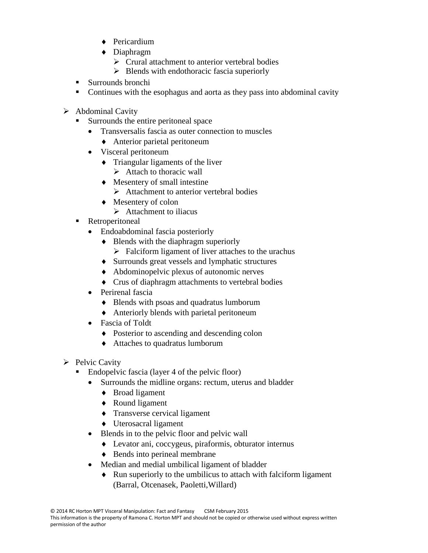- ◆ Pericardium
- Diaphragm
	- $\triangleright$  Crural attachment to anterior vertebral bodies
	- $\triangleright$  Blends with endothoracic fascia superiorly
- Surrounds bronchi
- Continues with the esophagus and aorta as they pass into abdominal cavity
- $\triangleright$  Abdominal Cavity
	- Surrounds the entire peritoneal space
		- Transversalis fascia as outer connection to muscles
			- Anterior parietal peritoneum
		- Visceral peritoneum
			- $\bullet$  Triangular ligaments of the liver
				- $\triangleright$  Attach to thoracic wall
			- Mesentery of small intestine
				- $\triangleright$  Attachment to anterior vertebral bodies
			- $\triangleleft$  Mesentery of colon
				- $\triangleright$  Attachment to iliacus
	- **Retroperitoneal** 
		- Endoabdominal fascia posteriorly
			- $\bullet$  Blends with the diaphragm superiorly
				- $\triangleright$  Falciform ligament of liver attaches to the urachus
			- Surrounds great vessels and lymphatic structures
			- Abdominopelvic plexus of autonomic nerves
			- Crus of diaphragm attachments to vertebral bodies
		- Perirenal fascia
			- Blends with psoas and quadratus lumborum
			- Anteriorly blends with parietal peritoneum
		- Fascia of Toldt
			- Posterior to ascending and descending colon
			- Attaches to quadratus lumborum
- $\triangleright$  Pelvic Cavity
	- Endopelvic fascia (layer 4 of the pelvic floor)
		- Surrounds the midline organs: rectum, uterus and bladder
			- Broad ligament
			- ◆ Round ligament
			- $\triangle$  Transverse cervical ligament
			- Uterosacral ligament
		- Blends in to the pelvic floor and pelvic wall
			- Levator ani, coccygeus, piraformis, obturator internus
			- ◆ Bends into perineal membrane
		- Median and medial umbilical ligament of bladder
			- Run superiorly to the umbilicus to attach with falciform ligament (Barral, Otcenasek, Paoletti,Willard)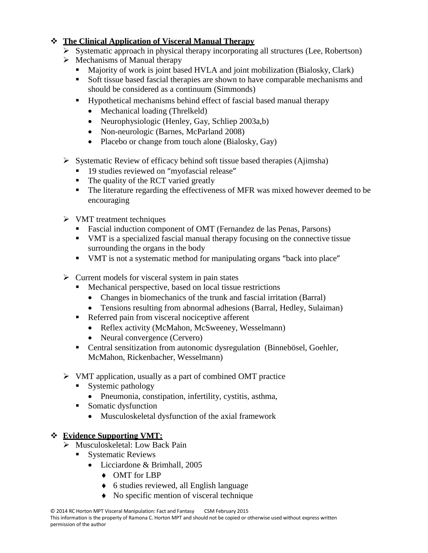## **The Clinical Application of Visceral Manual Therapy**

- $\triangleright$  Systematic approach in physical therapy incorporating all structures (Lee, Robertson)
- $\triangleright$  Mechanisms of Manual therapy
	- Majority of work is joint based HVLA and joint mobilization (Bialosky, Clark)
	- Soft tissue based fascial therapies are shown to have comparable mechanisms and should be considered as a continuum (Simmonds)
	- Hypothetical mechanisms behind effect of fascial based manual therapy
		- Mechanical loading (Threlkeld)
		- Neurophysiologic (Henley, Gay, Schliep 2003a,b)
		- Non-neurologic (Barnes, McParland 2008)
		- Placebo or change from touch alone (Bialosky, Gay)
- $\triangleright$  Systematic Review of efficacy behind soft tissue based therapies (Ajimsha)
	- <sup>19</sup> studies reviewed on "myofascial release"
	- The quality of the RCT varied greatly
	- The literature regarding the effectiveness of MFR was mixed however deemed to be encouraging
- $\triangleright$  VMT treatment techniques
	- **Fascial induction component of OMT (Fernandez de las Penas, Parsons)**
	- VMT is a specialized fascial manual therapy focusing on the connective tissue surrounding the organs in the body
	- VMT is not a systematic method for manipulating organs "back into place"
- $\triangleright$  Current models for visceral system in pain states
	- Mechanical perspective, based on local tissue restrictions
		- Changes in biomechanics of the trunk and fascial irritation (Barral)
		- Tensions resulting from abnormal adhesions (Barral, Hedley, Sulaiman)
	- Referred pain from visceral nociceptive afferent
		- Reflex activity (McMahon, McSweeney, Wesselmann)
		- Neural convergence (Cervero)
	- Central sensitization from autonomic dysregulation (Binnebösel, Goehler, McMahon, Rickenbacher, Wesselmann)
- VMT application, usually as a part of combined OMT practice
	- Systemic pathology
		- Pneumonia, constipation, infertility, cystitis, asthma,
	- Somatic dysfunction
		- Musculoskeletal dysfunction of the axial framework

## **Evidence Supporting VMT:**

- Musculoskeletal: Low Back Pain
	- Systematic Reviews
		- Licciardone & Brimhall, 2005
			- OMT for LBP
			- 6 studies reviewed, all English language
			- No specific mention of visceral technique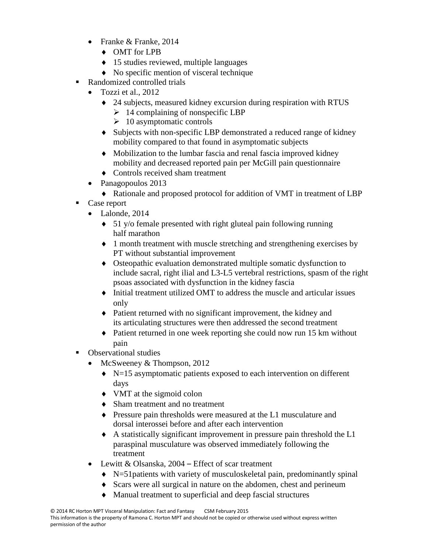- Franke & Franke, 2014
	- OMT for LPB
	- ◆ 15 studies reviewed, multiple languages
	- No specific mention of visceral technique
- Randomized controlled trials
	- $\bullet$  Tozzi et al., 2012
		- 24 subjects, measured kidney excursion during respiration with RTUS
			- $\geq 14$  complaining of nonspecific LBP
			- $\geq 10$  asymptomatic controls
		- Subjects with non-specific LBP demonstrated a reduced range of kidney mobility compared to that found in asymptomatic subjects
		- Mobilization to the lumbar fascia and renal fascia improved kidney mobility and decreased reported pain per McGill pain questionnaire
		- ◆ Controls received sham treatment
	- Panagopoulos 2013
	- Rationale and proposed protocol for addition of VMT in treatment of LBP
- Case report
	- Lalonde, 2014
		- 51 y/o female presented with right gluteal pain following running half marathon
		- 1 month treatment with muscle stretching and strengthening exercises by PT without substantial improvement
		- Osteopathic evaluation demonstrated multiple somatic dysfunction to include sacral, right ilial and L3-L5 vertebral restrictions, spasm of the right psoas associated with dysfunction in the kidney fascia
		- Initial treatment utilized OMT to address the muscle and articular issues only
		- Patient returned with no significant improvement, the kidney and its articulating structures were then addressed the second treatment
		- Patient returned in one week reporting she could now run 15 km without pain
- Observational studies
	- McSweeney & Thompson, 2012
		- $\blacklozenge$  N=15 asymptomatic patients exposed to each intervention on different days
		- VMT at the sigmoid colon
		- Sham treatment and no treatment
		- Pressure pain thresholds were measured at the L1 musculature and dorsal interossei before and after each intervention
		- A statistically significant improvement in pressure pain threshold the L1 paraspinal musculature was observed immediately following the treatment
	- Lewitt & Olsanska, 2004 Effect of scar treatment
		- N=51patients with variety of musculoskeletal pain, predominantly spinal
		- Scars were all surgical in nature on the abdomen, chest and perineum
		- Manual treatment to superficial and deep fascial structures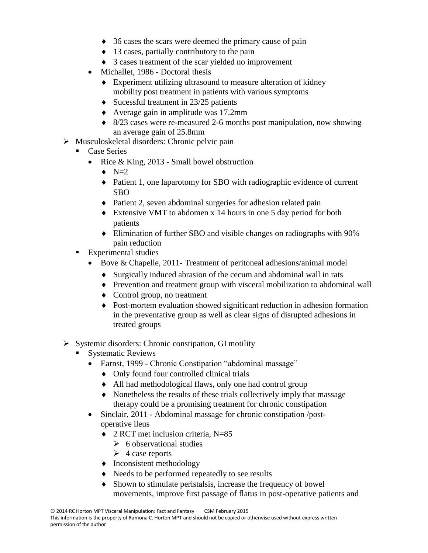- 36 cases the scars were deemed the primary cause of pain
- 13 cases, partially contributory to the pain
- 3 cases treatment of the scar yielded no improvement
- Michallet, 1986 Doctoral thesis
	- Experiment utilizing ultrasound to measure alteration of kidney mobility post treatment in patients with various symptoms
	- $\bullet$  Sucessful treatment in 23/25 patients
	- Average gain in amplitude was 17.2mm
	- 8/23 cases were re-measured 2-6 months post manipulation, now showing an average gain of 25.8mm
- $\triangleright$  Musculoskeletal disorders: Chronic pelvic pain
	- Case Series
		- Rice & King,  $2013$  Small bowel obstruction
			- $\bullet$  N=2
			- Patient 1, one laparotomy for SBO with radiographic evidence of current SBO
			- Patient 2, seven abdominal surgeries for adhesion related pain
			- Extensive VMT to abdomen x 14 hours in one 5 day period for both patients
			- Elimination of further SBO and visible changes on radiographs with 90% pain reduction
	- **Experimental studies** 
		- Bove & Chapelle, 2011- Treatment of peritoneal adhesions/animal model
			- Surgically induced abrasion of the cecum and abdominal wall in rats
			- Prevention and treatment group with visceral mobilization to abdominal wall
			- Control group, no treatment
			- Post-mortem evaluation showed significant reduction in adhesion formation in the preventative group as well as clear signs of disrupted adhesions in treated groups
- $\triangleright$  Systemic disorders: Chronic constipation, GI motility
	- Systematic Reviews
		- Earnst, 1999 Chronic Constipation "abdominal massage"
			- Only found four controlled clinical trials
			- All had methodological flaws, only one had control group
			- Nonetheless the results of these trials collectively imply that massage therapy could be a promising treatment for chronic constipation
		- Sinclair, 2011 Abdominal massage for chronic constipation /postoperative ileus
			- ◆ 2 RCT met inclusion criteria, N=85
				- $\triangleright$  6 observational studies
				- $\triangleright$  4 case reports
			- $\bullet$  Inconsistent methodology
			- $\triangle$  Needs to be performed repeatedly to see results
			- Shown to stimulate peristalsis, increase the frequency of bowel movements, improve first passage of flatus in post-operative patients and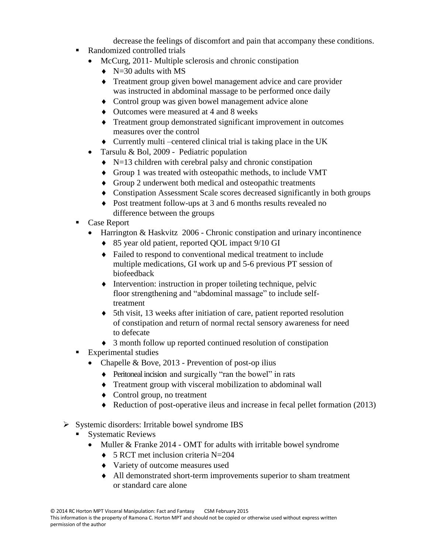decrease the feelings of discomfort and pain that accompany these conditions.

- Randomized controlled trials
	- McCurg, 2011- Multiple sclerosis and chronic constipation
		- $\blacklozenge$  N=30 adults with MS
		- Treatment group given bowel management advice and care provider was instructed in abdominal massage to be performed once daily
		- Control group was given bowel management advice alone
		- Outcomes were measured at 4 and 8 weeks
		- Treatment group demonstrated significant improvement in outcomes measures over the control
		- $\bullet$  Currently multi-centered clinical trial is taking place in the UK
	- Tarsulu & Bol, 2009 Pediatric population
		- $\blacklozenge$  N=13 children with cerebral palsy and chronic constipation
		- Group 1 was treated with osteopathic methods, to include VMT
		- Group 2 underwent both medical and osteopathic treatments
		- Constipation Assessment Scale scores decreased significantly in both groups
		- Post treatment follow-ups at 3 and 6 months results revealed no difference between the groups
- Case Report
	- Harrington & Haskvitz 2006 Chronic constipation and urinary incontinence
		- ◆ 85 year old patient, reported QOL impact 9/10 GI
		- Failed to respond to conventional medical treatment to include multiple medications, GI work up and 5-6 previous PT session of biofeedback
		- $\bullet$  Intervention: instruction in proper toileting technique, pelvic floor strengthening and "abdominal massage" to include selftreatment
		- 5th visit, 13 weeks after initiation of care, patient reported resolution of constipation and return of normal rectal sensory awareness for need to defecate
		- 3 month follow up reported continued resolution of constipation
- **Experimental studies** 
	- Chapelle & Bove, 2013 Prevention of post-op ilius
		- Peritoneal incision and surgically "ran the bowel" in rats
		- Treatment group with visceral mobilization to abdominal wall
		- Control group, no treatment
		- Reduction of post-operative ileus and increase in fecal pellet formation (2013)
- $\triangleright$  Systemic disorders: Irritable bowel syndrome IBS
	- Systematic Reviews
		- Muller & Franke 2014 OMT for adults with irritable bowel syndrome
			- $\bullet$  5 RCT met inclusion criteria N=204
			- Variety of outcome measures used
			- All demonstrated short-term improvements superior to sham treatment or standard care alone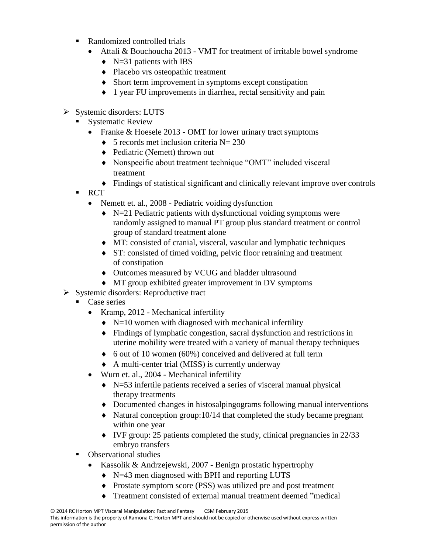- Randomized controlled trials
	- Attali & Bouchoucha 2013 VMT for treatment of irritable bowel syndrome
		- $\blacklozenge$  N=31 patients with IBS
		- Placebo vrs osteopathic treatment
		- Short term improvement in symptoms except constipation
		- 1 year FU improvements in diarrhea, rectal sensitivity and pain
- $\triangleright$  Systemic disorders: LUTS
	- Systematic Review
		- Franke & Hoesele 2013 OMT for lower urinary tract symptoms
			- $\bullet$  5 records met inclusion criteria N= 230
			- ◆ Pediatric (Nemett) thrown out
			- Nonspecific about treatment technique "OMT" included visceral treatment
			- Findings of statistical significant and clinically relevant improve over controls
	- RCT
		- Nemett et. al., 2008 Pediatric voiding dysfunction
			- $\blacklozenge$  N=21 Pediatric patients with dysfunctional voiding symptoms were randomly assigned to manual PT group plus standard treatment or control group of standard treatment alone
			- MT: consisted of cranial, visceral, vascular and lymphatic techniques
			- ST: consisted of timed voiding, pelvic floor retraining and treatment of constipation
			- Outcomes measured by VCUG and bladder ultrasound
			- MT group exhibited greater improvement in DV symptoms
- $\triangleright$  Systemic disorders: Reproductive tract
	- Case series
		- Kramp, 2012 Mechanical infertility
			- $\blacklozenge$  N=10 women with diagnosed with mechanical infertility
			- Findings of lymphatic congestion, sacral dysfunction and restrictions in uterine mobility were treated with a variety of manual therapy techniques
			- $\bullet$  6 out of 10 women (60%) conceived and delivered at full term
			- A multi-center trial (MISS) is currently underway
		- Wurn et. al., 2004 Mechanical infertility
			- $\blacklozenge$  N=53 infertile patients received a series of visceral manual physical therapy treatments
			- Documented changes in histosalpingograms following manual interventions
			- $\blacklozenge$  Natural conception group:10/14 that completed the study became pregnant within one year
			- $\blacklozenge$  IVF group: 25 patients completed the study, clinical pregnancies in 22/33 embryo transfers
	- Observational studies
		- Kassolik & Andrzejewski, 2007 Benign prostatic hypertrophy
			- N=43 men diagnosed with BPH and reporting LUTS
			- Prostate symptom score (PSS) was utilized pre and post treatment
			- Treatment consisted of external manual treatment deemed "medical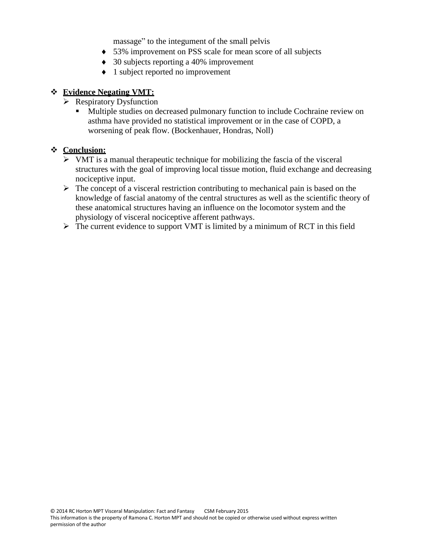massage" to the integument of the small pelvis

- 53% improvement on PSS scale for mean score of all subjects
- 30 subjects reporting a 40% improvement
- ◆ 1 subject reported no improvement

#### **Evidence Negating VMT:**

- $\triangleright$  Respiratory Dysfunction
	- Multiple studies on decreased pulmonary function to include Cochraine review on asthma have provided no statistical improvement or in the case of COPD, a worsening of peak flow. (Bockenhauer, Hondras, Noll)

#### **Conclusion:**

- $\triangleright$  VMT is a manual therapeutic technique for mobilizing the fascia of the visceral structures with the goal of improving local tissue motion, fluid exchange and decreasing nociceptive input.
- $\triangleright$  The concept of a visceral restriction contributing to mechanical pain is based on the knowledge of fascial anatomy of the central structures as well as the scientific theory of these anatomical structures having an influence on the locomotor system and the physiology of visceral nociceptive afferent pathways.
- $\triangleright$  The current evidence to support VMT is limited by a minimum of RCT in this field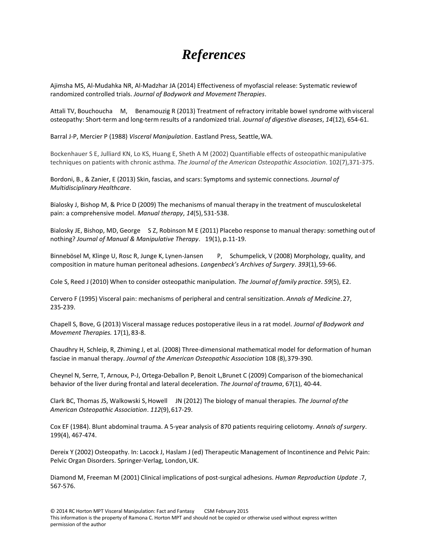# *References*

Ajimsha MS, Al-Mudahka NR, Al-Madzhar JA (2014) Effectiveness of myofascial release: Systematic reviewof randomized controlled trials. *Journal of Bodywork and Movement Therapies*.

Attali TV, Bouchoucha M, Benamouzig R (2013) Treatment of refractory irritable bowel syndrome withvisceral osteopathy: Short-term and long-term results of a randomized trial. *Journal of digestive diseases*, *14*(12), 654-61.

Barral J-P, Mercier P (1988) *Visceral Manipulation*. Eastland Press, Seattle,WA.

Bockenhauer S E, Julliard KN, Lo KS, Huang E, Sheth A M (2002) Quantifiable effects of osteopathicmanipulative techniques on patients with chronic asthma. *The Journal of the American Osteopathic Association*. 102(7),371-375.

Bordoni, B., & Zanier, E (2013) Skin, fascias, and scars: Symptoms and systemic connections. *Journal of Multidisciplinary Healthcare*.

Bialosky J, Bishop M, & Price D (2009) The mechanisms of manual therapy in the treatment of musculoskeletal pain: a comprehensive model. *Manual therapy*, *14*(5),531-538.

Bialosky JE, Bishop, MD, George S Z, Robinson M E (2011) Placebo response to manual therapy: something outof nothing? *Journal of Manual & Manipulative Therapy*. 19(1), p.11-19.

Binnebösel M, Klinge U, Rosc R, Junge K, Lynen-Jansen P, Schumpelick, V (2008) Morphology, quality, and composition in mature human peritoneal adhesions. *Langenbeck's Archives of Surgery*. *393*(1),59-66.

Cole S, Reed J (2010) When to consider osteopathic manipulation. *The Journal of family practice*. *59*(5), E2.

Cervero F (1995) Visceral pain: mechanisms of peripheral and central sensitization. *Annals of Medicine*.27, 235-239.

Chapell S, Bove, G (2013) Visceral massage reduces postoperative ileus in a rat model. *Journal of Bodywork and Movement Therapies.* 17(1), 83-8.

Chaudhry H, Schleip, R, Zhiming J, et al. (2008) Three-dimensional mathematical model for deformation of human fasciae in manual therapy. *Journal of the American Osteopathic Association* 108 (8),379-390.

Cheynel N, Serre, T, Arnoux, P-J, Ortega-Deballon P, Benoit L,Brunet C (2009) Comparison of the biomechanical behavior of the liver during frontal and lateral deceleration. *The Journal of trauma*, 67(1), 40-44.

Clark BC, Thomas JS, Walkowski S,Howell JN (2012) The biology of manual therapies. *The Journal ofthe American Osteopathic Association*. *112*(9),617-29.

Cox EF (1984). Blunt abdominal trauma. A 5-year analysis of 870 patients requiring celiotomy. *Annals of surgery*. 199(4), 467-474.

Dereix Y (2002) Osteopathy. In: Lacock J, Haslam J (ed) Therapeutic Management of Incontinence and Pelvic Pain: Pelvic Organ Disorders. Springer-Verlag, London, UK.

Diamond M, Freeman M (2001) Clinical implications of post-surgical adhesions. *Human Reproduction Update* .7, 567-576.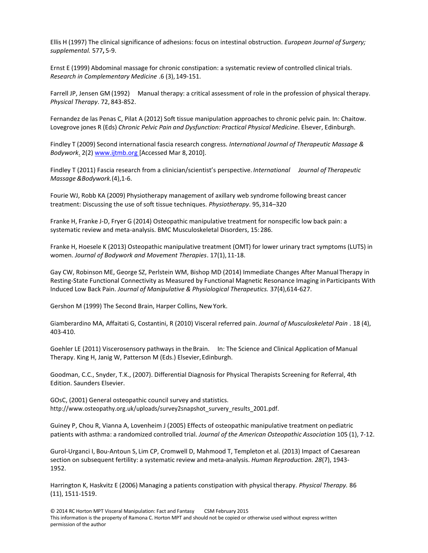Ellis H (1997) The clinical significance of adhesions: focus on intestinal obstruction. *European Journal of Surgery; supplemental.* 577**,** 5-9.

Ernst E (1999) Abdominal massage for chronic constipation: a systematic review of controlled clinical trials. *Research in Complementary Medicine* .6 (3),149-151.

Farrell JP, Jensen GM (1992) Manual therapy: a critical assessment of role in the profession of physical therapy. *Physical Therapy*. 72, 843-852.

Fernandez de las Penas C, Pilat A (2012) Soft tissue manipulation approaches to chronic pelvic pain. In: Chaitow. Lovegrove jones R (Eds) *Chronic Pelvic Pain and Dysfunction: Practical Physical Medicine*. Elsever, Edinburgh.

Findley T (2009) Second international fascia research congress. *International Journal of Therapeutic Massage & Bodywork*. 2(2[\) www.ijtmb.org \[](http://www.ijtmb.org/)Accessed Mar 8, 2010].

Findley T (2011) Fascia research from a clinician/scientist's perspective. *International Journal of Therapeutic Massage &Bodywork.*(4),1-6.

Fourie WJ, Robb KA (2009) Physiotherapy management of axillary web syndrome following breast cancer treatment: Discussing the use of soft tissue techniques. *Physiotherapy*. 95,314–320

Franke H, Franke J-D, Fryer G (2014) Osteopathic manipulative treatment for nonspecific low back pain: a systematic review and meta-analysis. BMC Musculoskeletal Disorders, 15:286.

Franke H, Hoesele K (2013) Osteopathic manipulative treatment (OMT) for lower urinary tract symptoms (LUTS) in women. *Journal of Bodywork and Movement Therapies*. 17(1),11-18.

Gay CW, Robinson ME, George SZ, Perlstein WM, Bishop MD (2014) Immediate Changes After Manual Therapy in Resting-State Functional Connectivity as Measured by Functional Magnetic Resonance Imaging in Participants With Induced Low Back Pain. *Journal of Manipulative & Physiological Therapeutics.* 37(4),614-627.

Gershon M (1999) The Second Brain, Harper Collins, NewYork.

Giamberardino MA, Affaitati G, Costantini, R (2010) Visceral referred pain. *Journal of Musculoskeletal Pain* . 18 (4), 403-410.

Goehler LE (2011) Viscerosensory pathways in the Brain. In: The Science and Clinical Application of Manual Therapy. King H, Janig W, Patterson M (Eds.) Elsevier, Edinburgh.

Goodman, C.C., Snyder, T.K., (2007). Differential Diagnosis for Physical Therapists Screening for Referral, 4th Edition. Saunders Elsevier.

GOsC, (2001) General osteopathic council survey and statistics. [http://www.osteopathy.org.uk/uploads/survey2snapshot\\_survery\\_results\\_2001.pdf.](http://www.osteopathy.org.uk/uploads/survey2snapshot_survery_results_2001.pdf)

Guiney P, Chou R, Vianna A, Lovenheim J (2005) Effects of osteopathic manipulative treatment on pediatric patients with asthma: a randomized controlled trial. *Journal of the American Osteopathic Association* 105 (1), 7-12.

Gurol-Urganci I, Bou-Antoun S, Lim CP, Cromwell D, Mahmood T, Templeton et al. (2013) Impact of Caesarean section on subsequent fertility: a systematic review and meta-analysis. *Human Reproduction. 28*(7), 1943- 1952.

Harrington K, Haskvitz E (2006) Managing a patients constipation with physical therapy. *Physical Therapy.* 86 (11), 1511-1519.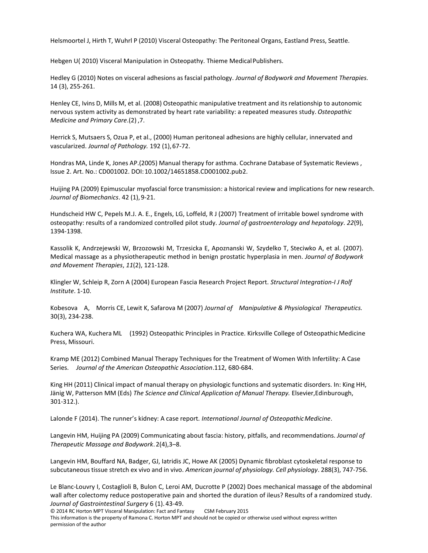Helsmoortel J, Hirth T, Wuhrl P (2010) Visceral Osteopathy: The Peritoneal Organs, Eastland Press, Seattle.

Hebgen U(2010) Visceral Manipulation in Osteopathy. Thieme Medical Publishers.

Hedley G (2010) Notes on visceral adhesions as fascial pathology. *Journal of Bodywork and Movement Therapies.* 14 (3), 255-261.

Henley CE, Ivins D, Mills M, et al. (2008) Osteopathic manipulative treatment and its relationship to autonomic nervous system activity as demonstrated by heart rate variability: a repeated measures study. *Osteopathic Medicine and Primary Care*.(2) ,7.

Herrick S, Mutsaers S, Ozua P, et al., (2000) Human peritoneal adhesions are highly cellular, innervated and vascularized. *Journal of Pathology.* 192 (1),67-72.

Hondras MA, Linde K, Jones AP.(2005) Manual therapy for asthma. Cochrane Database of Systematic Reviews , Issue 2. Art. No.: CD001002. DOI:10.1002/14651858.CD001002.pub2.

Huijing PA (2009) Epimuscular myofascial force transmission: a historical review and implications for new research. *Journal of Biomechanics*. 42 (1), 9-21.

Hundscheid HW C, Pepels M.J. A. E., Engels, LG, Loffeld, R J (2007) Treatment of irritable bowel syndrome with osteopathy: results of a randomized controlled pilot study. *Journal of gastroenterology and hepatology*. *22*(9), 1394-1398.

Kassolik K, Andrzejewski W, Brzozowski M, Trzesicka E, Apoznanski W, Szydelko T, Steciwko A, et al. (2007). Medical massage as a physiotherapeutic method in benign prostatic hyperplasia in men. *Journal of Bodywork and Movement Therapies*, *11*(2), 121-128.

Klingler W, Schleip R, Zorn A (2004) European Fascia Research Project Report. *Structural Integration-I J Rolf Institute*. 1-10.

Kobesova A, Morris CE, Lewit K, Safarova M (2007) *Journal of Manipulative & Physiological Therapeutics.* 30(3), 234-238.

Kuchera WA, Kuchera ML (1992) Osteopathic Principles in Practice. Kirksville College of OsteopathicMedicine Press, Missouri.

Kramp ME (2012) Combined Manual Therapy Techniques for the Treatment of Women With Infertility: A Case Series. *Journal of the American Osteopathic Association*.112, 680-684.

King HH (2011) Clinical impact of manual therapy on physiologic functions and systematic disorders. In: King HH, Jänig W, Patterson MM (Eds) *The Science and Clinical Application of Manual Therapy.* Elsevier,Edinburough, 301-312.).

Lalonde F (2014). The runner's kidney: A case report. International Journal of Osteopathic Medicine.

Langevin HM, Huijing PA (2009) Communicating about fascia: history, pitfalls, and recommendations. *Journal of Therapeutic Massage and Bodywork*.2(4),3–8.

Langevin HM, Bouffard NA, Badger, GJ, Iatridis JC, Howe AK (2005) Dynamic fibroblast cytoskeletal response to subcutaneoustissue stretch ex vivo and in vivo. *American journal of physiology. Cell physiology*. 288(3), 747-756.

Le Blanc-Louvry I, Costaglioli B, Bulon C, Leroi AM, Ducrotte P (2002) Does mechanical massage of the abdominal wall after colectomy reduce postoperative pain and shorted the duration of ileus? Results of a randomized study. *Journal of Gastrointestinal Surgery* 6 (1). 43-49.

© 2014 RC Horton MPT Visceral Manipulation: Fact and Fantasy CSM February 2015

This information is the property of Ramona C. Horton MPT and should not be copied or otherwise used without express written permission of the author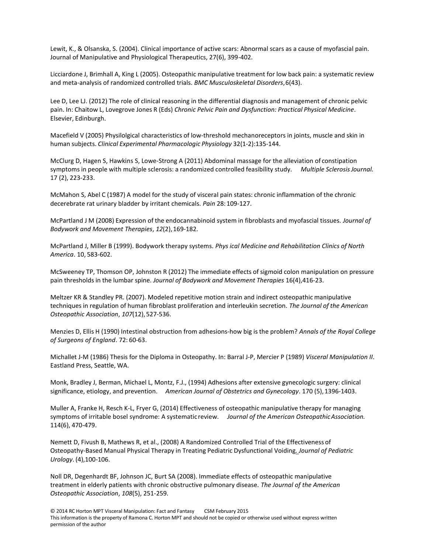Lewit, K., & Olsanska, S. (2004). Clinical importance of active scars: Abnormal scars as a cause of myofascial pain. Journal of Manipulative and Physiological Therapeutics, 27(6), 399-402.

Licciardone J, Brimhall A, King L (2005). Osteopathic manipulative treatment for low back pain: a systematic review and meta-analysis of randomized controlled trials. *BMC Musculoskeletal Disorders*,6(43).

Lee D, Lee LJ. (2012) The role of clinical reasoning in the differential diagnosis and management of chronic pelvic pain. In: Chaitow L, Lovegrove Jones R (Eds) *Chronic Pelvic Pain and Dysfunction: Practical Physical Medicine*. Elsevier, Edinburgh.

Macefield V (2005) Physilolgical characteristics of low-threshold mechanoreceptors in joints, muscle and skin in human subjects. *Clinical Experimental Pharmacologic Physiology* 32(1-2):135-144.

McClurg D, Hagen S, Hawkins S, Lowe-Strong A (2011) Abdominal massage for the alleviation of constipation symptoms in people with multiple sclerosis: a randomized controlled feasibility study. *Multiple SclerosisJournal.* 17 (2), 223-233.

McMahon S, Abel C (1987) A model for the study of visceral pain states: chronic inflammation of the chronic decerebrate rat urinary bladder by irritant chemicals. *Pain* 28: 109-127.

McPartland J M (2008) Expression of the endocannabinoid system in fibroblasts and myofascial tissues. *Journal of Bodywork and Movement Therapies*, *12*(2),169-182.

McPartland J, Miller B (1999). Bodywork therapy systems. *Phys ical Medicine and Rehabilitation Clinics of North America*. 10, 583-602.

McSweeney TP, Thomson OP, [Johnston](http://www.ncbi.nlm.nih.gov/pubmed?term=Johnston%20R%5BAuthor%5D&cauthor=true&cauthor_uid=23036875) R (2012) The immediate effects of sigmoid colon manipulation on pressure pain thresholds in the lumbar spine. *Journal of Bodywork and Movement Therapies* 16(4),416-23.

Meltzer KR & Standley PR. (2007). Modeled repetitive motion strain and indirect osteopathic manipulative techniques in regulation of human fibroblast proliferation and interleukin secretion. *The Journal of the American Osteopathic Association*, *107*(12),527-536.

Menzies D, Ellis H (1990) Intestinal obstruction from adhesions-how big is the problem? *Annals of the Royal College of Surgeons of England*. 72: 60-63.

Michallet J-M (1986) Thesis for the Diploma in Osteopathy. In: Barral J-P, Mercier P (1989) *Visceral Manipulation II*. Eastland Press, Seattle, WA.

Monk, Bradley J, Berman, Michael L, Montz, F.J., (1994) Adhesions after extensive gynecologic surgery: clinical significance, etiology, and prevention. *American Journal of Obstetrics and Gynecology*. 170 (5),1396-1403.

Muller A, Franke H, Resch K-L, Fryer G, (2014) Effectiveness of osteopathic manipulative therapy for managing symptoms of irritable bosel syndrome: A systematic review. *Journal of the American OsteopathicAssociation.* 114(6), 470-479.

Nemett D, Fivush B, Mathews R, et al., (2008) A Randomized Controlled Trial of the Effectiveness of Osteopathy-Based Manual Physical Therapy in Treating Pediatric Dysfunctional Voiding*. Journal of Pediatric Urology*. (4),100-106.

Noll DR, Degenhardt BF, Johnson JC, Burt SA (2008). Immediate effects of osteopathic manipulative treatment in elderly patients with chronic obstructive pulmonary disease. *The Journal of the American Osteopathic Association*, *108*(5), 251-259.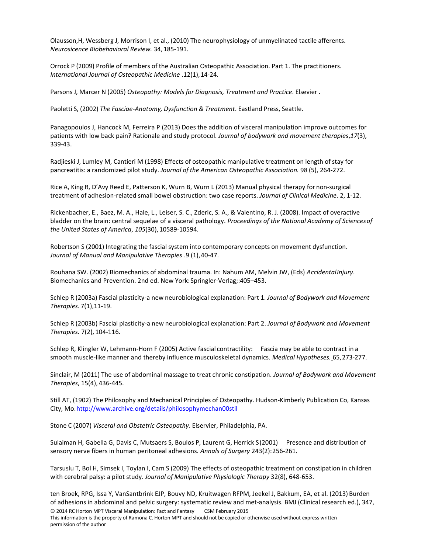Olausson,H, Wessberg J, Morrison I, et al., (2010) The neurophysiology of unmyelinated tactile afferents. *Neurosicence Biobehavioral Review.* 34,185-191.

Orrock P (2009) Profile of members of the Australian Osteopathic Association. Part 1. The practitioners. *International Journal of Osteopathic Medicine* .12(1),14-24.

Parsons J, Marcer N (2005) *Osteopathy: Models for Diagnosis, Treatment and Practice*. Elsevier .

Paoletti S, (2002) *The Fasciae-Anatomy, Dysfunction & Treatment*. Eastland Press, Seattle.

Panagopoulos J, Hancock M, Ferreira P (2013) Does the addition of visceral manipulation improve outcomes for patients with low back pain? Rationale and study protocol. *Journal of bodywork and movement therapies*,*17*(3), 339-43.

Radjieski J, Lumley M, Cantieri M (1998) Effects of osteopathic manipulative treatment on length of stay for pancreatitis: a randomized pilot study. *Journal of the American Osteopathic Association.* 98 (5), 264-272.

Rice A, King R, D'Avy Reed E, Patterson K, Wurn B, Wurn L (2013) Manual physical therapy for non-surgical treatment of adhesion-related small bowel obstruction: two case reports. *Journal of Clinical Medicine*. 2, 1-12.

Rickenbacher, E., Baez, M. A., Hale, L., Leiser, S. C., Zderic, S. A., & Valentino, R. J. (2008). Impact of overactive bladder on the brain: central sequelae of a visceral pathology. *Proceedings of the National Academy of Sciencesof the United States of America*, *105*(30), 10589-10594.

Robertson S (2001) Integrating the fascial system into contemporary concepts on movement dysfunction. *Journal of Manual and Manipulative Therapies* .9 (1),40-47.

Rouhana SW. (2002) Biomechanics of abdominal trauma. In: Nahum AM, Melvin JW, (Eds) *AccidentalInjury*. Biomechanics and Prevention. 2nd ed. New York:Springler-Verlag;:405–453.

Schlep R (2003a) Fascial plasticity-a new neurobiological explanation: Part 1. *Journal of Bodywork and Movement Therapies*. 7(1),11-19.

Schlep R (2003b) Fascial plasticity-a new neurobiological explanation: Part 2. *Journal of Bodywork and Movement Therapies.* 7(2), 104-116.

Schlep R, Klingler W, Lehmann-Horn F (2005) Active fascial contractility: Fascia may be able to contract in a smooth muscle-like manner and thereby influence musculoskeletal dynamics. *Medical Hypotheses.* 65,273-277.

Sinclair, M (2011) The use of abdominal massage to treat chronic constipation. *Journal of Bodywork and Movement Therapies*, 15(4), 436-445.

Still AT, (1902) The Philosophy and Mechanical Principles of Osteopathy. Hudson-Kimberly Publication Co, Kansas City, Mo[.http://www.archive.org/details/philosophymechan00stil](http://www.archive.org/details/philosophymechan00stil)

Stone C (2007) *Visceral and Obstetric Osteopathy*. Elservier, Philadelphia, PA.

Sulaiman H, Gabella G, Davis C, Mutsaers S, Boulos P, Laurent G, Herrick S(2001) Presence and distribution of sensory nerve fibers in human peritoneal adhesions. *Annals of Surgery* 243(2):256-261.

Tarsuslu T, Bol H, Simsek I, Toylan I, Cam S (2009) The effects of osteopathic treatment on constipation in children with cerebral palsy: a pilot study. *Journal of Manipulative Physiologic Therapy* 32(8), 648-653.

ten Broek, RPG, Issa Y, VanSantbrink EJP, Bouvy ND, Kruitwagen RFPM, Jeekel J, Bakkum, EA, et al. (2013) Burden of adhesions in abdominal and pelvic surgery: systematic review and met-analysis. BMJ (Clinical research ed.), 347,

© 2014 RC Horton MPT Visceral Manipulation: Fact and Fantasy CSM February 2015

This information is the property of Ramona C. Horton MPT and should not be copied or otherwise used without express written permission of the author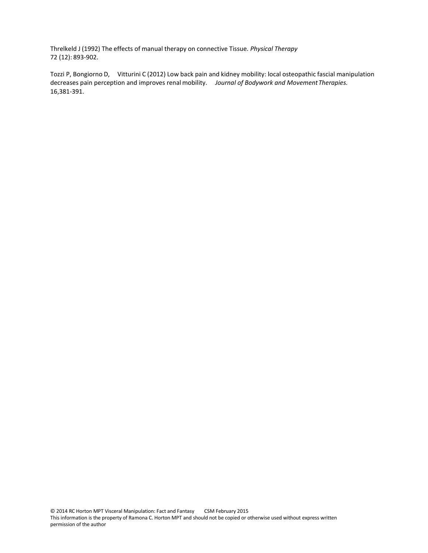Threlkeld J (1992) The effects of manual therapy on connective Tissue. *Physical Therapy* 72 (12): 893-902.

Tozzi P, Bongiorno D, Vitturini C (2012) Low back pain and kidney mobility: local osteopathic fascial manipulation decreases pain perception and improves renal mobility. *Journal of Bodywork and MovementTherapies.* 16,381-391.